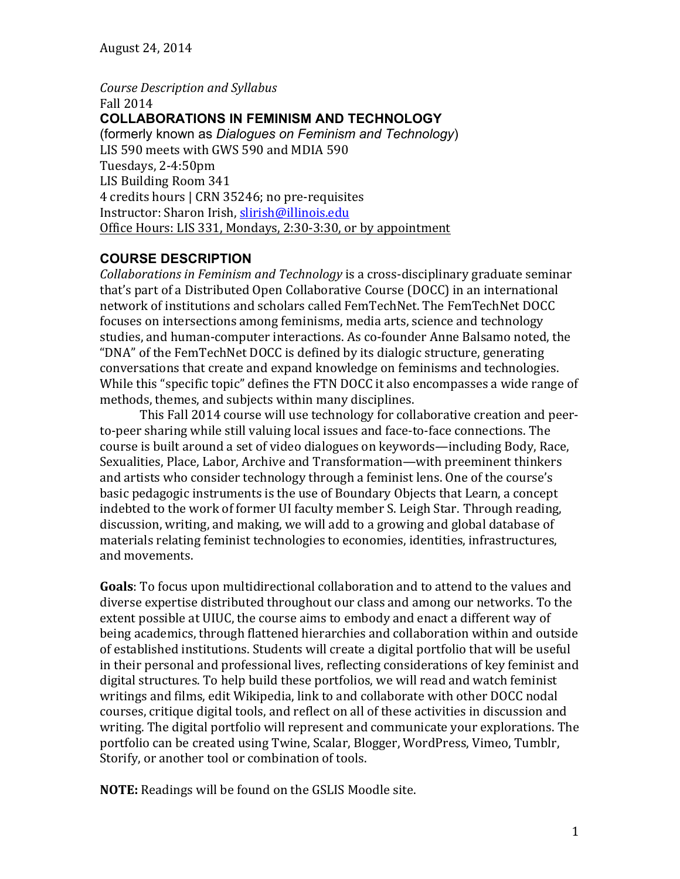*Course Description and Syllabus*  Fall 2014 **COLLABORATIONS IN FEMINISM AND TECHNOLOGY** (formerly known as *Dialogues on Feminism and Technology*) LIS 590 meets with GWS 590 and MDIA 590 Tuesdays, 2-4:50pm LIS Building Room 341 4 credits hours | CRN 35246; no pre-requisites Instructor: Sharon Irish, slirish@illinois.edu Office Hours: LIS 331, Mondays, 2:30-3:30, or by appointment

### **COURSE DESCRIPTION**

*Collaborations in Feminism and Technology* is a cross-disciplinary graduate seminar that's part of a Distributed Open Collaborative Course (DOCC) in an international network of institutions and scholars called FemTechNet. The FemTechNet DOCC focuses on intersections among feminisms, media arts, science and technology studies, and human-computer interactions. As co-founder Anne Balsamo noted, the "DNA" of the FemTechNet DOCC is defined by its dialogic structure, generating conversations that create and expand knowledge on feminisms and technologies. While this "specific topic" defines the FTN DOCC it also encompasses a wide range of methods, themes, and subjects within many disciplines.

This Fall 2014 course will use technology for collaborative creation and peerto-peer sharing while still valuing local issues and face-to-face connections. The course is built around a set of video dialogues on keywords—including Body, Race, Sexualities, Place, Labor, Archive and Transformation—with preeminent thinkers and artists who consider technology through a feminist lens. One of the course's basic pedagogic instruments is the use of Boundary Objects that Learn, a concept indebted to the work of former UI faculty member S. Leigh Star. Through reading, discussion, writing, and making, we will add to a growing and global database of materials relating feminist technologies to economies, identities, infrastructures, and movements.

**Goals**: To focus upon multidirectional collaboration and to attend to the values and diverse expertise distributed throughout our class and among our networks. To the extent possible at UIUC, the course aims to embody and enact a different way of being academics, through flattened hierarchies and collaboration within and outside of established institutions. Students will create a digital portfolio that will be useful in their personal and professional lives, reflecting considerations of key feminist and digital structures. To help build these portfolios, we will read and watch feminist writings and films, edit Wikipedia, link to and collaborate with other DOCC nodal courses, critique digital tools, and reflect on all of these activities in discussion and writing. The digital portfolio will represent and communicate your explorations. The portfolio can be created using Twine, Scalar, Blogger, WordPress, Vimeo, Tumblr, Storify, or another tool or combination of tools.

**NOTE:** Readings will be found on the GSLIS Moodle site.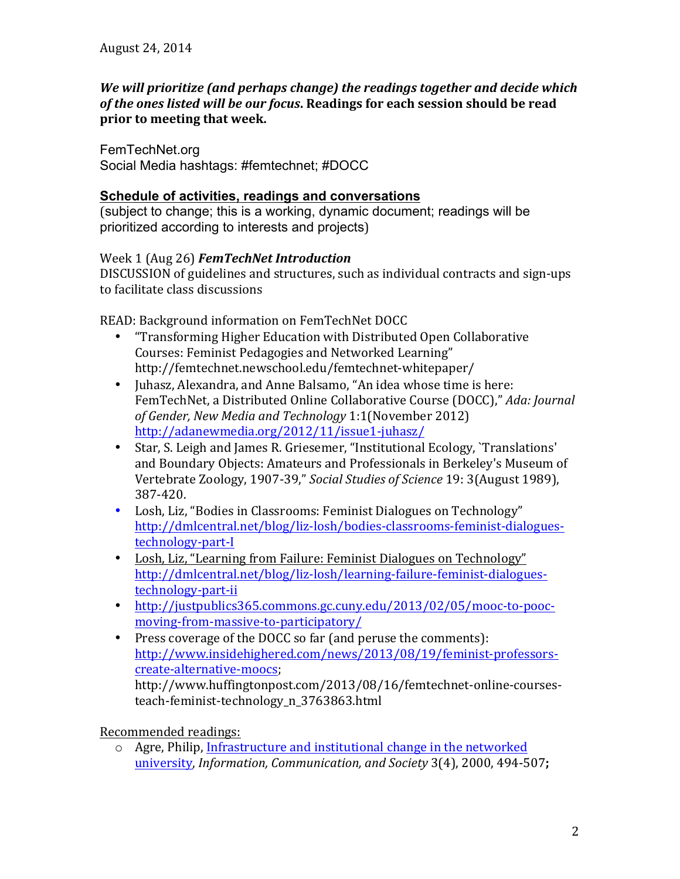#### *We* will prioritize (and perhaps change) the readings together and decide which of the ones listed will be our focus. Readings for each session should be read **prior to meeting that week.**

FemTechNet.org Social Media hashtags: #femtechnet; #DOCC

#### **Schedule of activities, readings and conversations**

(subject to change; this is a working, dynamic document; readings will be prioritized according to interests and projects)

#### Week 1 (Aug 26) **FemTechNet Introduction**

DISCUSSION of guidelines and structures, such as individual contracts and sign-ups to facilitate class discussions

READ: Background information on FemTechNet DOCC

- "Transforming Higher Education with Distributed Open Collaborative Courses: Feminist Pedagogies and Networked Learning" http://femtechnet.newschool.edu/femtechnet-whitepaper/
- Juhasz, Alexandra, and Anne Balsamo, "An idea whose time is here: FemTechNet, a Distributed Online Collaborative Course (DOCC)," *Ada: Journal* of Gender, New Media and Technology 1:1(November 2012) http://adanewmedia.org/2012/11/issue1-juhasz/
- Star, S. Leigh and James R. Griesemer, "Institutional Ecology, `Translations' and Boundary Objects: Amateurs and Professionals in Berkeley's Museum of Vertebrate Zoology, 1907-39," Social Studies of Science 19: 3(August 1989), 387-420.
- Losh, Liz, "Bodies in Classrooms: Feminist Dialogues on Technology" http://dmlcentral.net/blog/liz-losh/bodies-classrooms-feminist-dialoguestechnology-part-I
- Losh, Liz, "Learning from Failure: Feminist Dialogues on Technology" http://dmlcentral.net/blog/liz-losh/learning-failure-feminist-dialoguestechnology-part-ii
- http://justpublics365.commons.gc.cuny.edu/2013/02/05/mooc-to-poocmoving-from-massive-to-participatory/
- Press coverage of the DOCC so far (and peruse the comments): http://www.insidehighered.com/news/2013/08/19/feminist-professorscreate-alternative-moocs; http://www.huffingtonpost.com/2013/08/16/femtechnet-online-coursesteach-feminist-technology\_n\_3763863.html

Recommended readings:

 $\circ$  Agre, Philip, Infrastructure and institutional change in the networked university, *Information, Communication, and Society* 3(4), 2000, 494-507;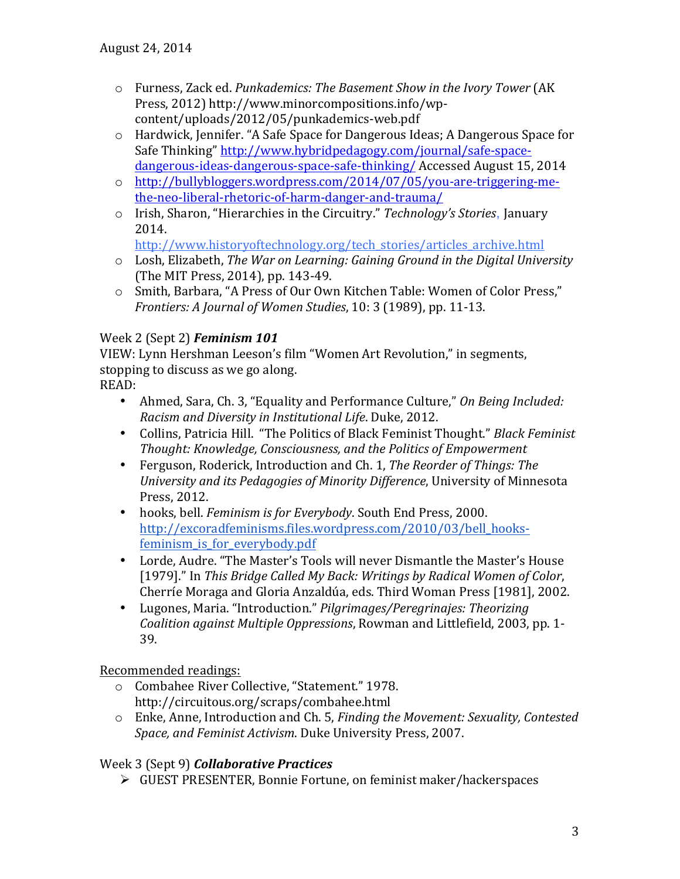- o Furness, Zack ed. *Punkademics: The Basement Show in the Ivory Tower* (AK Press, 2012) http://www.minorcompositions.info/wpcontent/uploads/2012/05/punkademics-web.pdf
- $\circ$  Hardwick, Jennifer. "A Safe Space for Dangerous Ideas; A Dangerous Space for Safe Thinking" http://www.hybridpedagogy.com/journal/safe-spacedangerous-ideas-dangerous-space-safe-thinking/ Accessed August 15, 2014
- o http://bullybloggers.wordpress.com/2014/07/05/you-are-triggering-methe-neo-liberal-rhetoric-of-harm-danger-and-trauma/
- o Irish, Sharon, "Hierarchies in the Circuitry." *Technology's Stories*, January 2014.

http://www.historyoftechnology.org/tech\_stories/articles\_archive.html

- o Losh, Elizabeth, *The War on Learning: Gaining Ground in the Digital University* (The MIT Press, 2014), pp. 143-49.
- o Smith, Barbara, "A Press of Our Own Kitchen Table: Women of Color Press," *Frontiers: A Journal of Women Studies*, 10: 3 (1989), pp. 11-13.

### Week 2 (Sept 2) **Feminism 101**

VIEW: Lynn Hershman Leeson's film "Women Art Revolution," in segments, stopping to discuss as we go along.

READ:

- Ahmed, Sara, Ch. 3, "Equality and Performance Culture," On Being Included: *Racism and Diversity in Institutional Life*. Duke, 2012.
- Collins, Patricia Hill. "The Politics of Black Feminist Thought." *Black Feminist Thought: Knowledge, Consciousness, and the Politics of Empowerment*
- Ferguson, Roderick, Introduction and Ch. 1, *The Reorder of Things: The University and its Pedagogies of Minority Difference*, University of Minnesota Press, 2012.
- hooks, bell. *Feminism is for Everybody*. South End Press, 2000. http://excoradfeminisms.files.wordpress.com/2010/03/bell\_hooksfeminism\_is\_for\_everybody.pdf
- Lorde, Audre. "The Master's Tools will never Dismantle the Master's House [1979]." In *This Bridge Called My Back: Writings by Radical Women of Color*, Cherríe Moraga and Gloria Anzaldúa, eds. Third Woman Press [1981], 2002.
- Lugones, Maria. "Introduction." *Pilgrimages/Peregrinajes: Theorizing Coalition against Multiple Oppressions*, Rowman and Littlefield, 2003, pp. 1- 39.

Recommended readings:

- o Combahee River Collective, "Statement." 1978. http://circuitous.org/scraps/combahee.html
- o Enke, Anne, Introduction and Ch. 5, *Finding the Movement: Sexuality, Contested Space, and Feminist Activism.* Duke University Press, 2007.

#### Week 3 (Sept 9) *Collaborative Practices*

 $\triangleright$  GUEST PRESENTER, Bonnie Fortune, on feminist maker/hackerspaces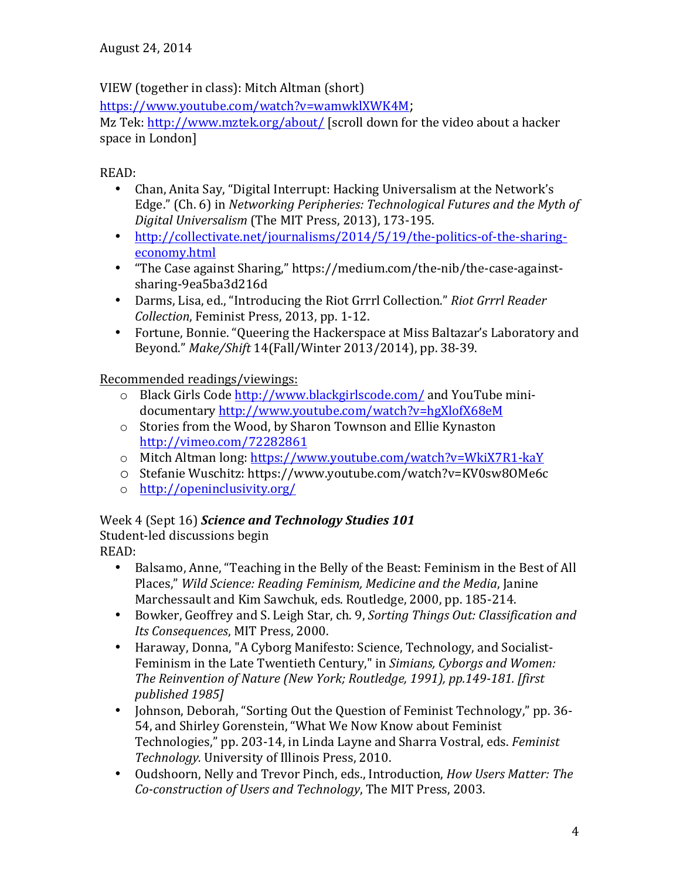# VIEW (together in class): Mitch Altman (short)

https://www.youtube.com/watch?v=wamwklXWK4M; 

Mz Tek: http://www.mztek.org/about/ [scroll down for the video about a hacker space in London]

READ:

- Chan, Anita Say, "Digital Interrupt: Hacking Universalism at the Network's Edge." (Ch. 6) in *Networking Peripheries: Technological Futures and the Myth of Digital Universalism* (The MIT Press, 2013), 173-195.
- http://collectivate.net/journalisms/2014/5/19/the-politics-of-the-sharingeconomy.html
- "The Case against Sharing," https://medium.com/the-nib/the-case-againstsharing-9ea5ba3d216d
- Darms, Lisa, ed., "Introducing the Riot Grrrl Collection." *Riot Grrrl Reader Collection*, Feminist Press, 2013, pp. 1-12.
- Fortune, Bonnie. "Queering the Hackerspace at Miss Baltazar's Laboratory and Beyond." *Make/Shift* 14(Fall/Winter 2013/2014), pp. 38-39.

Recommended readings/viewings:

- $\circ$  Black Girls Code http://www.blackgirlscode.com/ and YouTube minidocumentary http://www.youtube.com/watch?v=hgXlofX68eM
- $\circ$  Stories from the Wood, by Sharon Townson and Ellie Kynaston http://vimeo.com/72282861
- o Mitch Altman long: https://www.youtube.com/watch?v=WkiX7R1-kaY
- o Stefanie Wuschitz: https://www.youtube.com/watch?v=KV0sw8OMe6c
- o http://openinclusivity.org/

# Week 4 (Sept 16) *Science and Technology Studies 101*

Student-led discussions begin

READ: 

- Balsamo, Anne, "Teaching in the Belly of the Beast: Feminism in the Best of All Places," Wild Science: Reading Feminism, Medicine and the Media, Janine Marchessault and Kim Sawchuk, eds. Routledge, 2000, pp. 185-214.
- Bowker, Geoffrey and S. Leigh Star, ch. 9, *Sorting Things Out: Classification and Its Consequences*, MIT Press, 2000.
- Haraway, Donna, "A Cyborg Manifesto: Science, Technology, and Socialist-Feminism in the Late Twentieth Century," in *Simians, Cyborgs and Women: The Reinvention of Nature (New York; Routledge, 1991), pp.149-181. [first published 1985]*
- Johnson, Deborah, "Sorting Out the Question of Feminist Technology," pp. 36-54, and Shirley Gorenstein, "What We Now Know about Feminist Technologies," pp. 203-14, in Linda Layne and Sharra Vostral, eds. *Feminist* Technology. University of Illinois Press, 2010.
- Oudshoorn, Nelly and Trevor Pinch, eds., Introduction, *How Users Matter: The Co-construction of Users and Technology*, The MIT Press, 2003.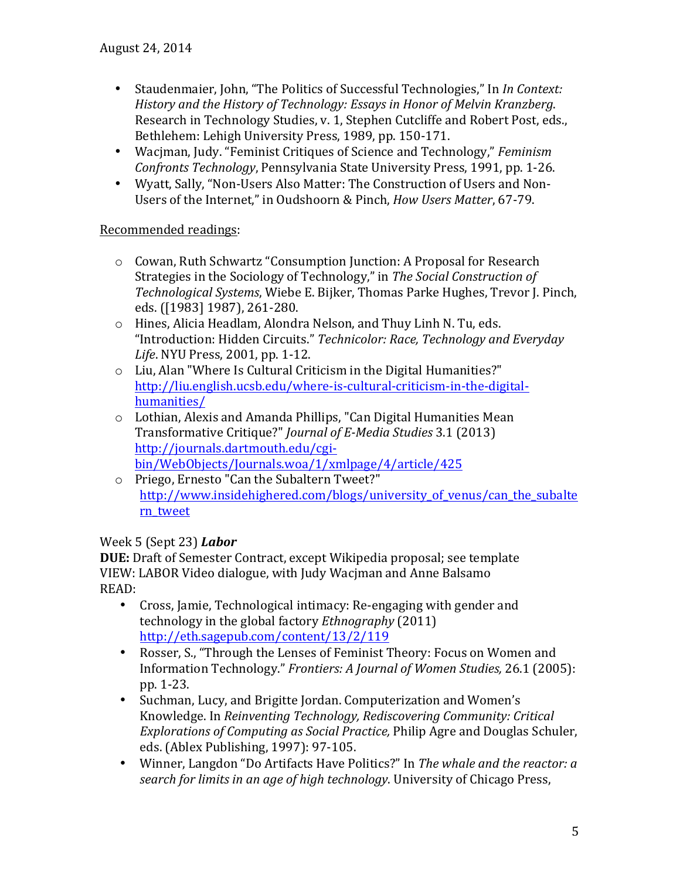- Staudenmaier, John, "The Politics of Successful Technologies," In *In Context: History* and the History of Technology: *Essays* in Honor of Melvin Kranzberg. Research in Technology Studies, v. 1, Stephen Cutcliffe and Robert Post, eds., Bethlehem: Lehigh University Press, 1989, pp. 150-171.
- Waciman, Judy. "Feminist Critiques of Science and Technology," Feminism *Confronts Technology*, Pennsylvania State University Press, 1991, pp. 1-26.
- Wyatt, Sally, "Non-Users Also Matter: The Construction of Users and Non-Users of the Internet," in Oudshoorn & Pinch, *How Users Matter*, 67-79.

### Recommended readings:

- $\circ$  Cowan, Ruth Schwartz "Consumption Junction: A Proposal for Research Strategies in the Sociology of Technology," in The Social Construction of *Technological Systems*, Wiebe E. Bijker, Thomas Parke Hughes, Trevor J. Pinch, eds. ([1983] 1987), 261-280.
- $\circ$  Hines, Alicia Headlam, Alondra Nelson, and Thuy Linh N. Tu, eds. "Introduction: Hidden Circuits." Technicolor: Race, Technology and Everyday *Life*. NYU Press, 2001, pp. 1-12.
- $\circ$  Liu, Alan "Where Is Cultural Criticism in the Digital Humanities?" http://liu.english.ucsb.edu/where-is-cultural-criticism-in-the-digitalhumanities/
- $\circ$  Lothian, Alexis and Amanda Phillips, "Can Digital Humanities Mean Transformative Critique?" *Journal of E-Media Studies* 3.1 (2013) http://journals.dartmouth.edu/cgibin/WebObjects/Journals.woa/1/xmlpage/4/article/425
- o Priego, Ernesto "Can the Subaltern Tweet?" http://www.insidehighered.com/blogs/university of venus/can the subalte rn\_tweet

# Week 5 (Sept 23) *Labor*

**DUE:** Draft of Semester Contract, except Wikipedia proposal; see template VIEW: LABOR Video dialogue, with Judy Wacjman and Anne Balsamo READ:

- Cross, Jamie, Technological intimacy: Re-engaging with gender and technology in the global factory *Ethnography* (2011) http://eth.sagepub.com/content/13/2/119
- Rosser, S., "Through the Lenses of Feminist Theory: Focus on Women and Information Technology." *Frontiers: A Journal of Women Studies,* 26.1 (2005): pp. 1-23.
- Suchman, Lucy, and Brigitte Jordan. Computerization and Women's Knowledge. In *Reinventing Technology, Rediscovering Community: Critical Explorations of Computing as Social Practice, Philip Agre and Douglas Schuler,* eds. (Ablex Publishing, 1997): 97-105.
- Winner, Langdon "Do Artifacts Have Politics?" In *The whale and the reactor: a search for limits in an age of high technology*. University of Chicago Press,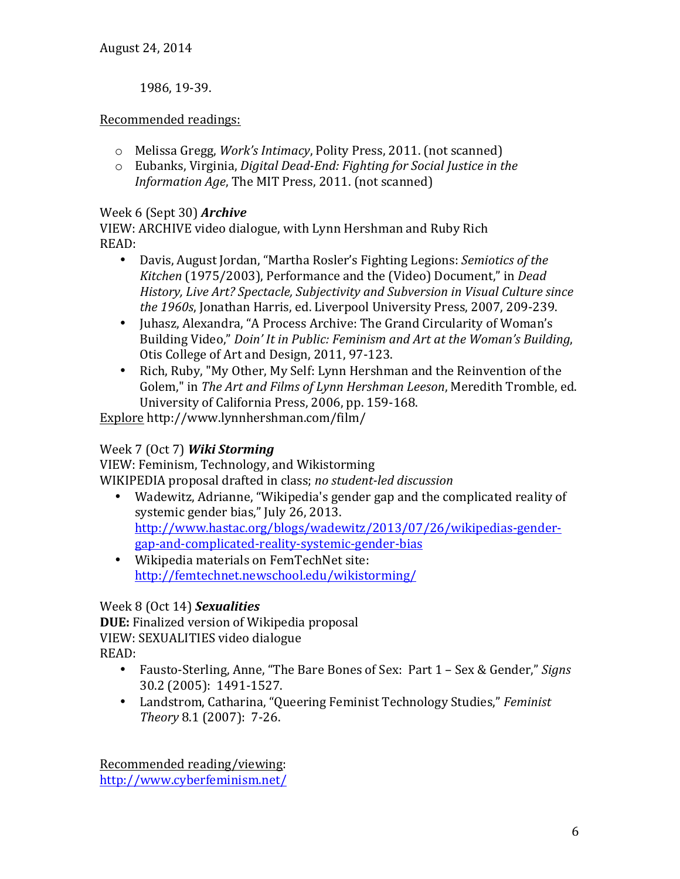1986, 19-39.

#### Recommended readings:

- o Melissa Gregg, *Work's Intimacy*, Polity Press, 2011. (not scanned)
- o Eubanks, Virginia, *Digital Dead-End: Fighting for Social Justice in the Information Age*, The MIT Press, 2011. (not scanned)

### Week 6 (Sept 30) **Archive**

VIEW: ARCHIVE video dialogue, with Lynn Hershman and Ruby Rich READ:

- Davis, August Jordan, "Martha Rosler's Fighting Legions: *Semiotics of the Kitchen* (1975/2003), Performance and the (Video) Document," in *Dead History, Live Art? Spectacle, Subjectivity and Subversion in Visual Culture since* the 1960s, Jonathan Harris, ed. Liverpool University Press, 2007, 209-239.
- Juhasz, Alexandra, "A Process Archive: The Grand Circularity of Woman's Building Video," *Doin' It in Public: Feminism and Art at the Woman's Building*, Otis College of Art and Design, 2011, 97-123.
- Rich, Ruby, "My Other, My Self: Lynn Hershman and the Reinvention of the Golem," in The Art and Films of Lynn Hershman Leeson, Meredith Tromble, ed. University of California Press, 2006, pp. 159-168.

Explore http://www.lynnhershman.com/film/

# Week 7 (Oct 7) *Wiki Storming*

VIEW: Feminism, Technology, and Wikistorming WIKIPEDIA proposal drafted in class; *no student-led discussion*

- Wadewitz, Adrianne, "Wikipedia's gender gap and the complicated reality of systemic gender bias," July 26, 2013. http://www.hastac.org/blogs/wadewitz/2013/07/26/wikipedias-gendergap-and-complicated-reality-systemic-gender-bias
- Wikipedia materials on FemTechNet site: http://femtechnet.newschool.edu/wikistorming/

# Week 8 (Oct 14) *Sexualities*

**DUE:** Finalized version of Wikipedia proposal VIEW: SEXUALITIES video dialogue READ:

- Fausto-Sterling, Anne, "The Bare Bones of Sex: Part 1 Sex & Gender," *Signs* 30.2 (2005): 1491-1527.
- Landstrom, Catharina, "Queering Feminist Technology Studies," *Feminist Theory* 8.1 (2007): 7-26.

Recommended reading/viewing: http://www.cyberfeminism.net/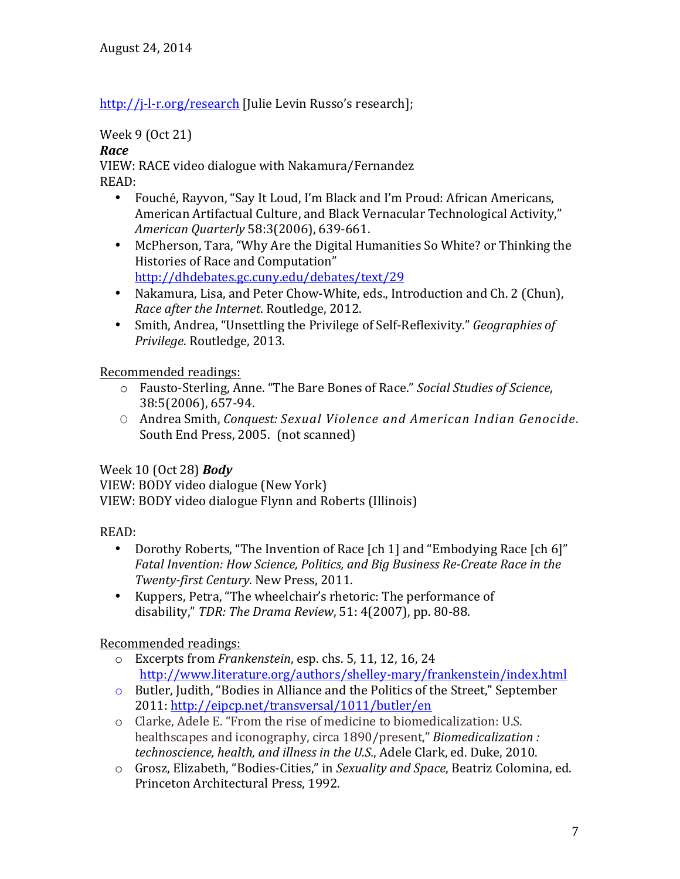http://j-l-r.org/research [Julie Levin Russo's research];

# Week 9 (Oct 21)

### *Race*

VIEW: RACE video dialogue with Nakamura/Fernandez READ:

- Fouché, Rayvon, "Say It Loud, I'm Black and I'm Proud: African Americans, American Artifactual Culture, and Black Vernacular Technological Activity," *American Quarterly* 58:3(2006), 639-661.
- McPherson, Tara, "Why Are the Digital Humanities So White? or Thinking the Histories of Race and Computation" http://dhdebates.gc.cuny.edu/debates/text/29
- Nakamura, Lisa, and Peter Chow-White, eds., Introduction and Ch. 2 (Chun), *Race after the Internet*. Routledge, 2012.
- Smith, Andrea, "Unsettling the Privilege of Self-Reflexivity." *Geographies of Privilege.* Routledge, 2013.

Recommended readings:

- o Fausto-Sterling, Anne. "The Bare Bones of Race." *Social Studies of Science*, 38:5(2006), 657-94.
- O Andrea Smith, *Conquest: Sexual Violence and American Indian Genocide*. South End Press, 2005. (not scanned)

# Week 10 (Oct 28) *Body*

VIEW: BODY video dialogue (New York) VIEW: BODY video dialogue Flynn and Roberts (Illinois)

# READ:

- Dorothy Roberts, "The Invention of Race [ch 1] and "Embodying Race [ch 6]" *Fatal Invention: How Science, Politics, and Big Business Re-Create Race in the Twenty-first Century*. New Press, 2011.
- Kuppers, Petra, "The wheelchair's rhetoric: The performance of disability," *TDR: The Drama Review*, 51: 4(2007), pp. 80-88.

Recommended readings:

- o Excerpts from *Frankenstein*, esp. chs. 5, 11, 12, 16, 24 http://www.literature.org/authors/shelley-mary/frankenstein/index.html
- $\circ$  Butler, Judith, "Bodies in Alliance and the Politics of the Street," September 2011: http://eipcp.net/transversal/1011/butler/en
- o Clarke, Adele E. "From the rise of medicine to biomedicalization: U.S. healthscapes and iconography, circa 1890/present," *Biomedicalization* : *technoscience, health, and illness in the U.S., Adele Clark, ed. Duke, 2010.*
- o Grosz, Elizabeth, "Bodies-Cities," in *Sexuality and Space*, Beatriz Colomina, ed. Princeton Architectural Press, 1992.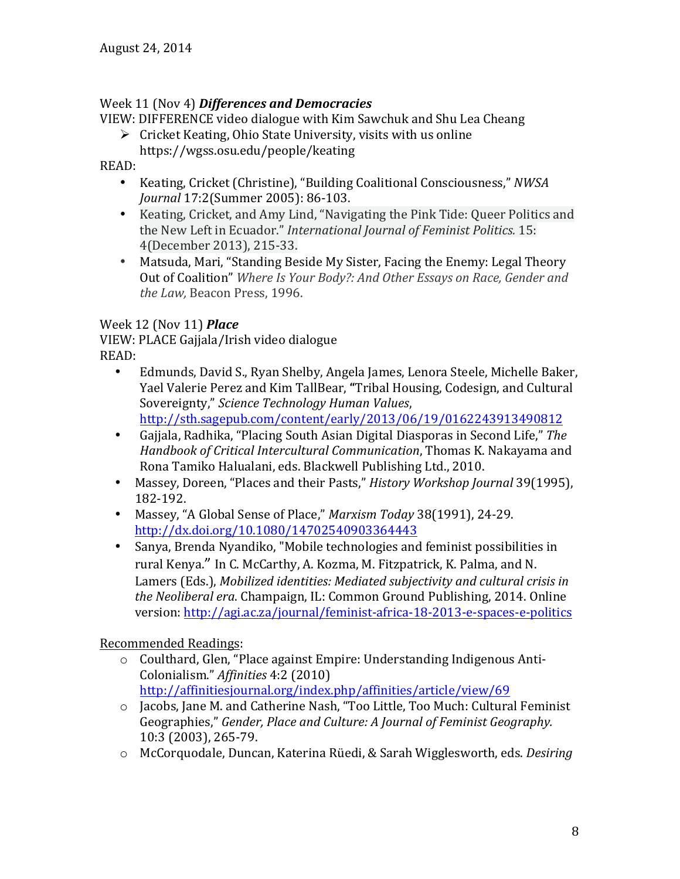### Week 11 (Nov 4) Differences and Democracies

VIEW: DIFFERENCE video dialogue with Kim Sawchuk and Shu Lea Cheang

 $\triangleright$  Cricket Keating, Ohio State University, visits with us online https://wgss.osu.edu/people/keating

READ:

- Keating, Cricket (Christine), "Building Coalitional Consciousness," NWSA *Journal* 17:2(Summer 2005): 86-103.
- Keating, Cricket, and Amy Lind, "Navigating the Pink Tide: Queer Politics and the New Left in Ecuador." *International Journal of Feminist Politics.* 15: 4(December 2013), 215-33.
- Matsuda, Mari, "Standing Beside My Sister, Facing the Enemy: Legal Theory Out of Coalition" *Where Is Your Body?: And Other Essays on Race, Gender and* the Law, Beacon Press, 1996.

# Week 12 (Nov 11) *Place*

VIEW: PLACE Gajjala/Irish video dialogue READ:

- Edmunds, David S., Ryan Shelby, Angela James, Lenora Steele, Michelle Baker, Yael Valerie Perez and Kim TallBear, "Tribal Housing, Codesign, and Cultural Sovereignty," *Science Technology Human Values*, http://sth.sagepub.com/content/early/2013/06/19/0162243913490812
- Gajjala, Radhika, "Placing South Asian Digital Diasporas in Second Life," The *Handbook of Critical Intercultural Communication*, Thomas K. Nakayama and Rona Tamiko Halualani, eds. Blackwell Publishing Ltd., 2010.
- Massey, Doreen, "Places and their Pasts," *History Workshop Journal* 39(1995), 182-192.
- Massey, "A Global Sense of Place," Marxism Today 38(1991), 24-29. http://dx.doi.org/10.1080/14702540903364443
- Sanya, Brenda Nyandiko, "Mobile technologies and feminist possibilities in rural Kenya." In C. McCarthy, A. Kozma, M. Fitzpatrick, K. Palma, and N. Lamers (Eds.), *Mobilized identities: Mediated subjectivity and cultural crisis in the Neoliberal era.* Champaign, IL: Common Ground Publishing, 2014. Online version: http://agi.ac.za/journal/feminist-africa-18-2013-e-spaces-e-politics

# Recommended Readings:

o Coulthard, Glen, "Place against Empire: Understanding Indigenous Anti-Colonialism." *Affinities* 4:2 (2010) 

http://affinitiesjournal.org/index.php/affinities/article/view/69

- o Jacobs, Jane M. and Catherine Nash, "Too Little, Too Much: Cultural Feminist Geographies," Gender, Place and Culture: A Journal of Feminist Geography. 10:3 (2003), 265-79.
- o McCorquodale, Duncan, Katerina Rüedi, & Sarah Wigglesworth, eds. *Desiring*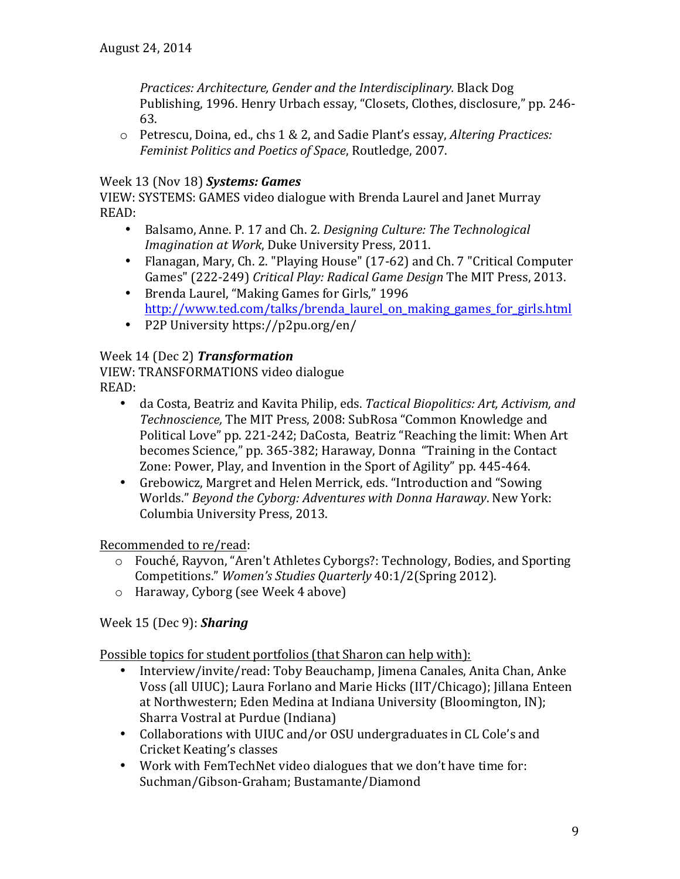*Practices: Architecture, Gender and the Interdisciplinary.* Black Dog Publishing, 1996. Henry Urbach essay, "Closets, Clothes, disclosure," pp. 246-63.

o Petrescu, Doina, ed., chs 1 & 2, and Sadie Plant's essay, *Altering Practices: Feminist Politics and Poetics of Space, Routledge, 2007.* 

### Week 13 (Nov 18) **Systems: Games**

VIEW: SYSTEMS: GAMES video dialogue with Brenda Laurel and Janet Murray READ: 

- Balsamo, Anne. P. 17 and Ch. 2. *Designing Culture: The Technological Imagination at Work*, Duke University Press, 2011.
- Flanagan, Mary, Ch. 2. "Playing House" (17-62) and Ch. 7 "Critical Computer Games" (222-249) *Critical Play: Radical Game Design* The MIT Press, 2013.
- Brenda Laurel, "Making Games for Girls," 1996 http://www.ted.com/talks/brenda\_laurel\_on\_making\_games\_for\_girls.html
- P2P University https://p2pu.org/en/

### Week 14 (Dec 2) *Transformation*

VIEW: TRANSFORMATIONS video dialogue READ:

- da Costa, Beatriz and Kavita Philip, eds. *Tactical Biopolitics: Art, Activism, and* Technoscience, The MIT Press, 2008: SubRosa "Common Knowledge and Political Love" pp. 221-242; DaCosta, Beatriz "Reaching the limit: When Art becomes Science," pp. 365-382; Haraway, Donna "Training in the Contact Zone: Power, Play, and Invention in the Sport of Agility" pp. 445-464.
- Grebowicz, Margret and Helen Merrick, eds. "Introduction and "Sowing" Worlds." *Beyond the Cyborg: Adventures with Donna Haraway*. New York: Columbia University Press, 2013.

Recommended to re/read:

- $\circ$  Fouché, Rayvon, "Aren't Athletes Cyborgs?: Technology, Bodies, and Sporting Competitions." Women's Studies Quarterly 40:1/2(Spring 2012).
- $\circ$  Haraway, Cyborg (see Week 4 above)

Week 15 (Dec 9): *Sharing*

Possible topics for student portfolios (that Sharon can help with):

- Interview/invite/read: Toby Beauchamp, Jimena Canales, Anita Chan, Anke Voss (all UIUC); Laura Forlano and Marie Hicks (IIT/Chicago); Jillana Enteen at Northwestern; Eden Medina at Indiana University (Bloomington, IN); Sharra Vostral at Purdue (Indiana)
- Collaborations with UIUC and/or OSU undergraduates in CL Cole's and Cricket Keating's classes
- Work with FemTechNet video dialogues that we don't have time for: Suchman/Gibson-Graham; Bustamante/Diamond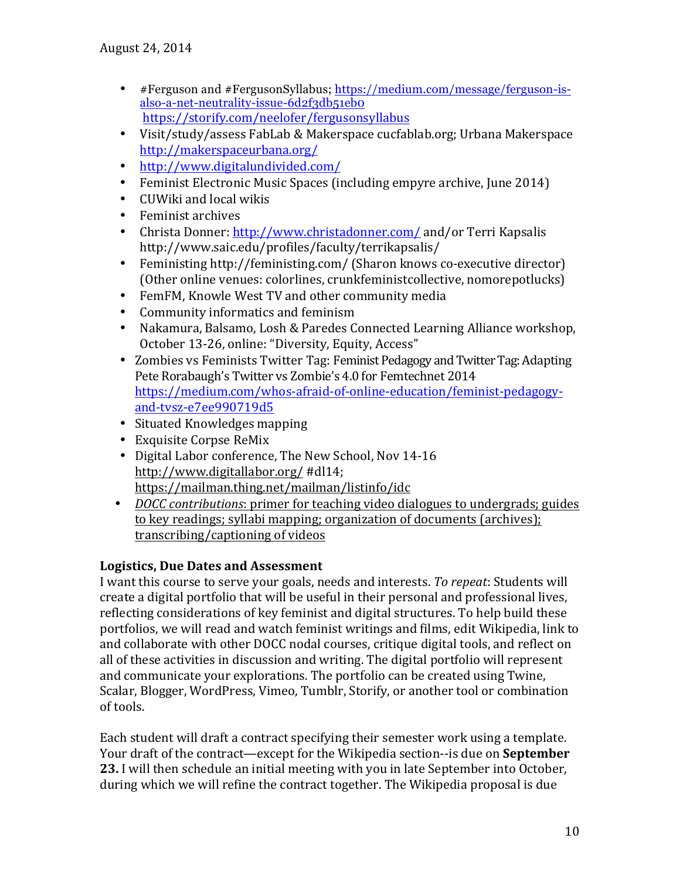- #Ferguson and #FergusonSyllabus; https://medium.com/message/ferguson-isalso-a-net-neutrality-issue-6d2f3db51eb0 https://storify.com/neelofer/fergusonsyllabus
- Visit/study/assess FabLab & Makerspace cucfablab.org; Urbana Makerspace http://makerspaceurbana.org/
- http://www.digitalundivided.com/
- Feminist Electronic Music Spaces (including empyre archive, June 2014)
- CUWiki and local wikis
- Feminist archives
- Christa Donner: http://www.christadonner.com/ and/or Terri Kapsalis http://www.saic.edu/profiles/faculty/terrikapsalis/
- Feministing http://feministing.com/ (Sharon knows co-executive director) (Other online venues: colorlines, crunkfeministcollective, nomorepotlucks)
- FemFM, Knowle West TV and other community media
- Community informatics and feminism
- Nakamura, Balsamo, Losh & Paredes Connected Learning Alliance workshop, October 13-26, online: "Diversity, Equity, Access"
- Zombies vs Feminists Twitter Tag: Feminist Pedagogy and Twitter Tag: Adapting Pete Rorabaugh's Twitter vs Zombie's 4.0 for Femtechnet 2014 https://medium.com/whos-afraid-of-online-education/feminist-pedagogyand-tvsz-e7ee990719d5
- Situated Knowledges mapping
- Exquisite Corpse ReMix
- Digital Labor conference, The New School, Nov 14-16 http://www.digitallabor.org/ #dl14; https://mailman.thing.net/mailman/listinfo/idc
- *DOCC contributions*: primer <u>for teaching video dialogues to undergrads; guides</u> to key readings; syllabi mapping; organization of documents (archives); transcribing/captioning of videos

### Logistics, Due Dates and Assessment

I want this course to serve your goals, needs and interests. To repeat: Students will create a digital portfolio that will be useful in their personal and professional lives, reflecting considerations of key feminist and digital structures. To help build these portfolios, we will read and watch feminist writings and films, edit Wikipedia, link to and collaborate with other DOCC nodal courses, critique digital tools, and reflect on all of these activities in discussion and writing. The digital portfolio will represent and communicate your explorations. The portfolio can be created using Twine, Scalar, Blogger, WordPress, Vimeo, Tumblr, Storify, or another tool or combination of tools.

Each student will draft a contract specifying their semester work using a template. Your draft of the contract—except for the Wikipedia section--is due on **September 23.** I will then schedule an initial meeting with you in late September into October, during which we will refine the contract together. The Wikipedia proposal is due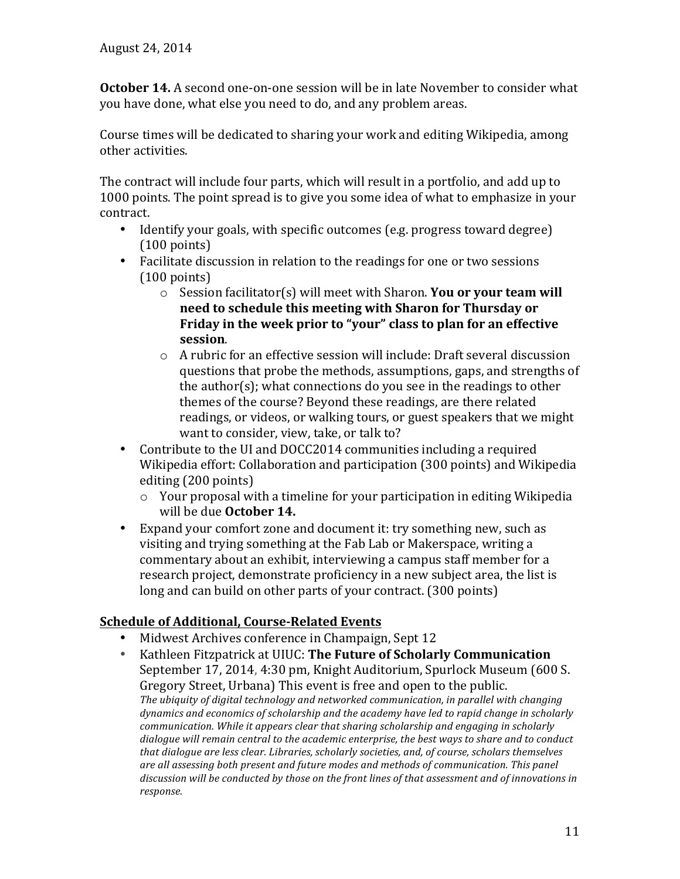**October 14.** A second one-on-one session will be in late November to consider what you have done, what else you need to do, and any problem areas.

Course times will be dedicated to sharing your work and editing Wikipedia, among other activities.

The contract will include four parts, which will result in a portfolio, and add up to 1000 points. The point spread is to give you some idea of what to emphasize in your contract.

- Identify your goals, with specific outcomes (e.g. progress toward degree)  $(100 \text{ points})$
- Facilitate discussion in relation to the readings for one or two sessions  $(100 \text{ points})$ 
	- $\circ$  Session facilitator(s) will meet with Sharon. You or your team will need to schedule this meeting with Sharon for Thursday or Friday in the week prior to "your" class to plan for an effective **session**.
	- $\circ$  A rubric for an effective session will include: Draft several discussion questions that probe the methods, assumptions, gaps, and strengths of the author(s); what connections do you see in the readings to other themes of the course? Beyond these readings, are there related readings, or videos, or walking tours, or guest speakers that we might want to consider, view, take, or talk to?
- Contribute to the UI and DOCC2014 communities including a required Wikipedia effort: Collaboration and participation (300 points) and Wikipedia editing (200 points)
	- $\circ$  Your proposal with a timeline for your participation in editing Wikipedia will be due October 14.
- Expand your comfort zone and document it: try something new, such as visiting and trying something at the Fab Lab or Makerspace, writing a commentary about an exhibit, interviewing a campus staff member for a research project, demonstrate proficiency in a new subject area, the list is long and can build on other parts of your contract. (300 points)

# **Schedule of Additional, Course-Related Events**

- Midwest Archives conference in Champaign, Sept 12
- Kathleen Fitzpatrick at UIUC: The Future of Scholarly Communication September 17, 2014, 4:30 pm, Knight Auditorium, Spurlock Museum (600 S. Gregory Street, Urbana) This event is free and open to the public. The ubiquity of digital technology and networked communication, in parallel with changing *dynamics and economics of scholarship and the academy have led to rapid change in scholarly communication.* While it appears clear that sharing scholarship and engaging in scholarly dialogue will remain central to the academic enterprise, the best ways to share and to conduct that dialogue are less clear. Libraries, scholarly societies, and, of course, scholars themselves *are all assessing both present and future modes and methods of communication. This panel* discussion will be conducted by those on the front lines of that assessment and of innovations in *response.*